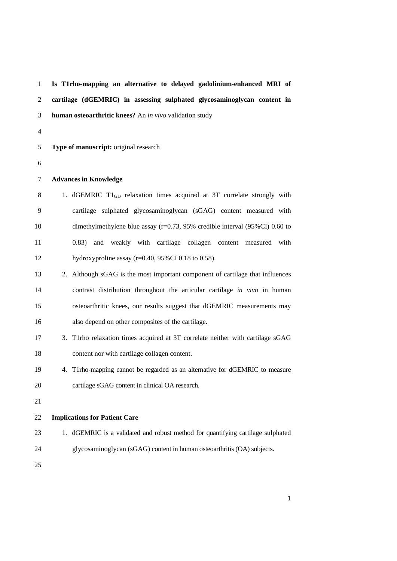**Is T1rho-mapping an alternative to delayed gadolinium-enhanced MRI of cartilage (dGEMRIC) in assessing sulphated glycosaminoglycan content in human osteoarthritic knees?** An *in vivo* validation study **Type of manuscript:** original research **Advances in Knowledge** 8 1. dGEMRIC  $T1_{GD}$  relaxation times acquired at 3T correlate strongly with cartilage sulphated glycosaminoglycan (sGAG) content measured with dimethylmethylene blue assay (r=0.73, 95% credible interval (95%CI) 0.60 to 0.83) and weakly with cartilage collagen content measured with 12 hydroxyproline assay (r=0.40, 95%CI 0.18 to 0.58). 2. Although sGAG is the most important component of cartilage that influences contrast distribution throughout the articular cartilage *in vivo* in human osteoarthritic knees, our results suggest that dGEMRIC measurements may also depend on other composites of the cartilage. 3. T1rho relaxation times acquired at 3T correlate neither with cartilage sGAG content nor with cartilage collagen content. 4. T1rho-mapping cannot be regarded as an alternative for dGEMRIC to measure cartilage sGAG content in clinical OA research. **Implications for Patient Care** 1. dGEMRIC is a validated and robust method for quantifying cartilage sulphated glycosaminoglycan (sGAG) content in human osteoarthritis (OA) subjects.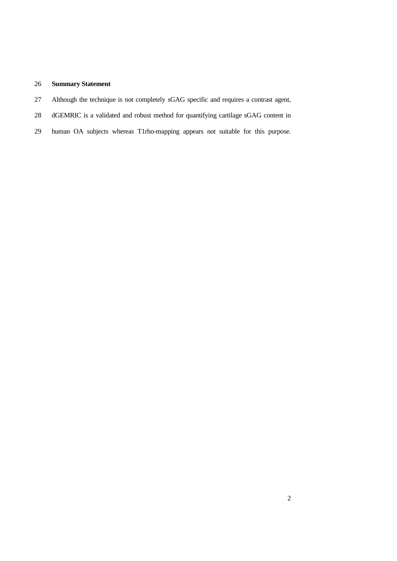# **Summary Statement**

- Although the technique is not completely sGAG specific and requires a contrast agent,
- dGEMRIC is a validated and robust method for quantifying cartilage sGAG content in
- human OA subjects whereas T1rho-mapping appears not suitable for this purpose.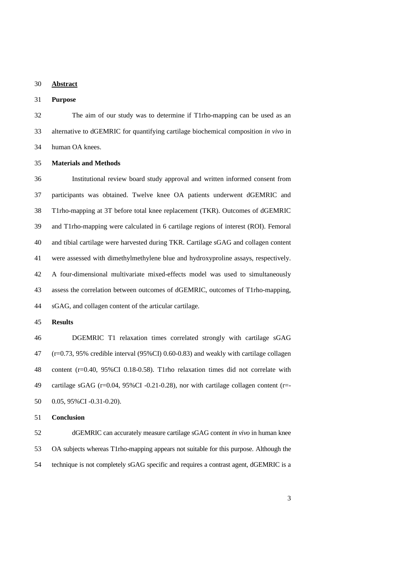### **Abstract**

## **Purpose**

 The aim of our study was to determine if T1rho-mapping can be used as an alternative to dGEMRIC for quantifying cartilage biochemical composition *in vivo* in human OA knees.

### **Materials and Methods**

 Institutional review board study approval and written informed consent from participants was obtained. Twelve knee OA patients underwent dGEMRIC and T1rho-mapping at 3T before total knee replacement (TKR). Outcomes of dGEMRIC and T1rho-mapping were calculated in 6 cartilage regions of interest (ROI). Femoral and tibial cartilage were harvested during TKR. Cartilage sGAG and collagen content were assessed with dimethylmethylene blue and hydroxyproline assays, respectively. A four-dimensional multivariate mixed-effects model was used to simultaneously assess the correlation between outcomes of dGEMRIC, outcomes of T1rho-mapping, sGAG, and collagen content of the articular cartilage.

### **Results**

 DGEMRIC T1 relaxation times correlated strongly with cartilage sGAG (r=0.73, 95% credible interval (95%CI) 0.60-0.83) and weakly with cartilage collagen content (r=0.40, 95%CI 0.18-0.58). T1rho relaxation times did not correlate with cartilage sGAG (r=0.04, 95%CI -0.21-0.28), nor with cartilage collagen content (r=- 0.05, 95%CI -0.31-0.20).

### **Conclusion**

 dGEMRIC can accurately measure cartilage sGAG content *in vivo* in human knee OA subjects whereas T1rho-mapping appears not suitable for this purpose. Although the technique is not completely sGAG specific and requires a contrast agent, dGEMRIC is a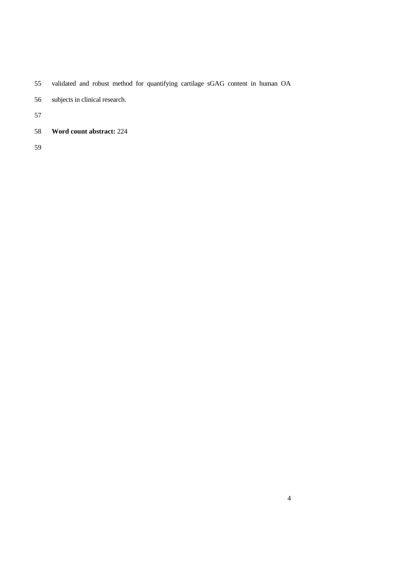- validated and robust method for quantifying cartilage sGAG content in human OA
- subjects in clinical research.

**Word count abstract:** 224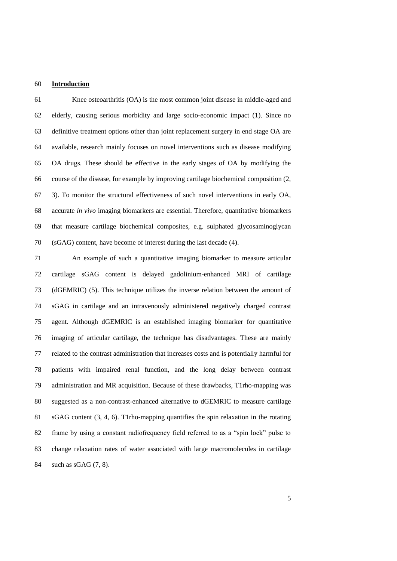### **Introduction**

 Knee osteoarthritis (OA) is the most common joint disease in middle-aged and elderly, causing serious morbidity and large socio-economic impact [\(1\)](#page-17-0). Since no definitive treatment options other than joint replacement surgery in end stage OA are available, research mainly focuses on novel interventions such as disease modifying OA drugs. These should be effective in the early stages of OA by modifying the course of the disease, for example by improving cartilage biochemical composition [\(2,](#page-17-1) [3\)](#page-17-2). To monitor the structural effectiveness of such novel interventions in early OA, accurate *in vivo* imaging biomarkers are essential. Therefore, quantitative biomarkers that measure cartilage biochemical composites, e.g. sulphated glycosaminoglycan (sGAG) content, have become of interest during the last decade [\(4\)](#page-17-3).

 An example of such a quantitative imaging biomarker to measure articular cartilage sGAG content is delayed gadolinium-enhanced MRI of cartilage (dGEMRIC) [\(5\)](#page-17-4). This technique utilizes the inverse relation between the amount of sGAG in cartilage and an intravenously administered negatively charged contrast agent. Although dGEMRIC is an established imaging biomarker for quantitative imaging of articular cartilage, the technique has disadvantages. These are mainly related to the contrast administration that increases costs and is potentially harmful for patients with impaired renal function, and the long delay between contrast administration and MR acquisition. Because of these drawbacks, T1rho-mapping was suggested as a non-contrast-enhanced alternative to dGEMRIC to measure cartilage sGAG content [\(3,](#page-17-2) [4,](#page-17-3) [6\)](#page-17-5). T1rho-mapping quantifies the spin relaxation in the rotating frame by using a constant radiofrequency field referred to as a "spin lock" pulse to change relaxation rates of water associated with large macromolecules in cartilage such as sGAG [\(7,](#page-17-6) [8\)](#page-17-7).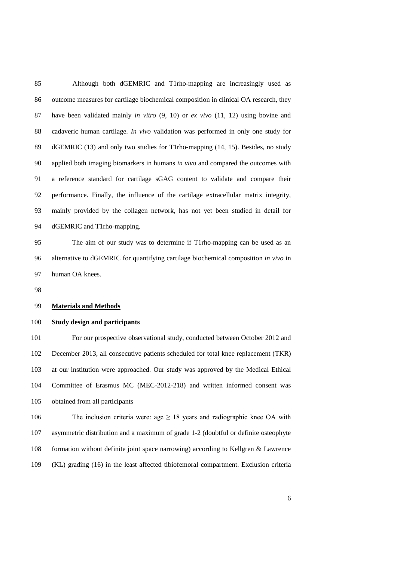Although both dGEMRIC and T1rho-mapping are increasingly used as outcome measures for cartilage biochemical composition in clinical OA research, they have been validated mainly *in vitro* [\(9,](#page-18-0) [10\)](#page-18-1) or *ex vivo* [\(11,](#page-18-2) [12\)](#page-18-3) using bovine and cadaveric human cartilage. *In vivo* validation was performed in only one study for dGEMRIC [\(13\)](#page-18-4) and only two studies for T1rho-mapping [\(14,](#page-18-5) [15\)](#page-18-6). Besides, no study applied both imaging biomarkers in humans *in vivo* and compared the outcomes with a reference standard for cartilage sGAG content to validate and compare their performance. Finally, the influence of the cartilage extracellular matrix integrity, mainly provided by the collagen network, has not yet been studied in detail for dGEMRIC and T1rho-mapping.

 The aim of our study was to determine if T1rho-mapping can be used as an alternative to dGEMRIC for quantifying cartilage biochemical composition *in vivo* in human OA knees.

#### **Materials and Methods**

### **Study design and participants**

 For our prospective observational study, conducted between October 2012 and December 2013, all consecutive patients scheduled for total knee replacement (TKR) at our institution were approached. Our study was approved by the Medical Ethical Committee of Erasmus MC (MEC-2012-218) and written informed consent was obtained from all participants

106 The inclusion criteria were: age  $\geq$  18 years and radiographic knee OA with asymmetric distribution and a maximum of grade 1-2 (doubtful or definite osteophyte formation without definite joint space narrowing) according to Kellgren & Lawrence (KL) grading [\(16\)](#page-18-7) in the least affected tibiofemoral compartment. Exclusion criteria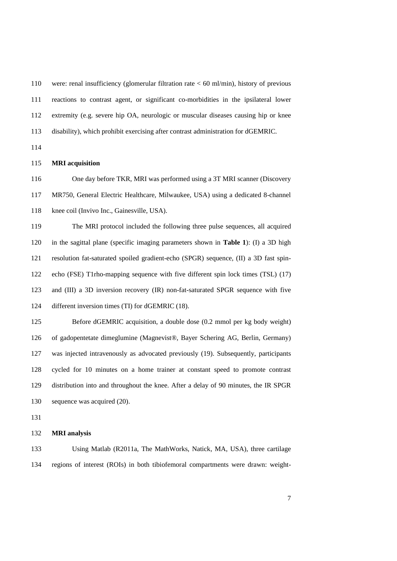were: renal insufficiency (glomerular filtration rate < 60 ml/min), history of previous reactions to contrast agent, or significant co-morbidities in the ipsilateral lower extremity (e.g. severe hip OA, neurologic or muscular diseases causing hip or knee disability), which prohibit exercising after contrast administration for dGEMRIC.

### **MRI acquisition**

 One day before TKR, MRI was performed using a 3T MRI scanner (Discovery MR750, General Electric Healthcare, Milwaukee, USA) using a dedicated 8-channel knee coil (Invivo Inc., Gainesville, USA).

 The MRI protocol included the following three pulse sequences, all acquired in the sagittal plane (specific imaging parameters shown in **Table 1**): (I) a 3D high resolution fat-saturated spoiled gradient-echo (SPGR) sequence, (II) a 3D fast spin- echo (FSE) T1rho-mapping sequence with five different spin lock times (TSL) [\(17\)](#page-19-0) and (III) a 3D inversion recovery (IR) non-fat-saturated SPGR sequence with five different inversion times (TI) for dGEMRIC [\(18\)](#page-19-1).

 Before dGEMRIC acquisition, a double dose (0.2 mmol per kg body weight) of gadopentetate dimeglumine (Magnevist®, Bayer Schering AG, Berlin, Germany) was injected intravenously as advocated previously [\(19\)](#page-19-2). Subsequently, participants cycled for 10 minutes on a home trainer at constant speed to promote contrast distribution into and throughout the knee. After a delay of 90 minutes, the IR SPGR sequence was acquired [\(20\)](#page-19-3).

## **MRI analysis**

 Using Matlab (R2011a, The MathWorks, Natick, MA, USA), three cartilage regions of interest (ROIs) in both tibiofemoral compartments were drawn: weight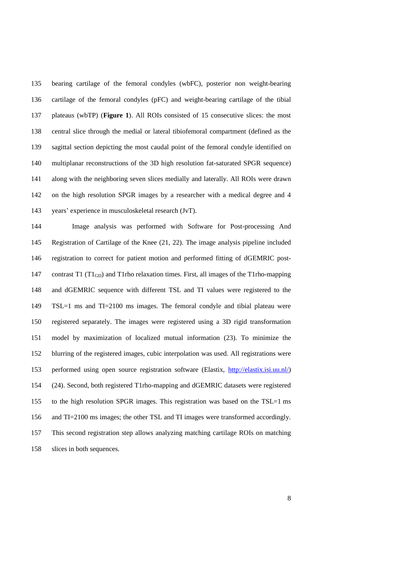bearing cartilage of the femoral condyles (wbFC), posterior non weight-bearing cartilage of the femoral condyles (pFC) and weight-bearing cartilage of the tibial plateaus (wbTP) (**Figure 1**). All ROIs consisted of 15 consecutive slices: the most central slice through the medial or lateral tibiofemoral compartment (defined as the sagittal section depicting the most caudal point of the femoral condyle identified on multiplanar reconstructions of the 3D high resolution fat-saturated SPGR sequence) along with the neighboring seven slices medially and laterally. All ROIs were drawn on the high resolution SPGR images by a researcher with a medical degree and 4 years' experience in musculoskeletal research (JvT).

 Image analysis was performed with Software for Post-processing And Registration of Cartilage of the Knee [\(21,](#page-19-4) [22\)](#page-19-5). The image analysis pipeline included registration to correct for patient motion and performed fitting of dGEMRIC post-147 contrast T1 ( $T1_{GD}$ ) and T1rho relaxation times. First, all images of the T1rho-mapping and dGEMRIC sequence with different TSL and TI values were registered to the TSL=1 ms and TI=2100 ms images. The femoral condyle and tibial plateau were registered separately. The images were registered using a 3D rigid transformation model by maximization of localized mutual information [\(23\)](#page-19-6). To minimize the blurring of the registered images, cubic interpolation was used. All registrations were performed using open source registration software (Elastix, [http://elastix.isi.uu.nl/\)](http://elastix.isi.uu.nl/) [\(24\)](#page-19-7). Second, both registered T1rho-mapping and dGEMRIC datasets were registered to the high resolution SPGR images. This registration was based on the TSL=1 ms and TI=2100 ms images; the other TSL and TI images were transformed accordingly. This second registration step allows analyzing matching cartilage ROIs on matching slices in both sequences.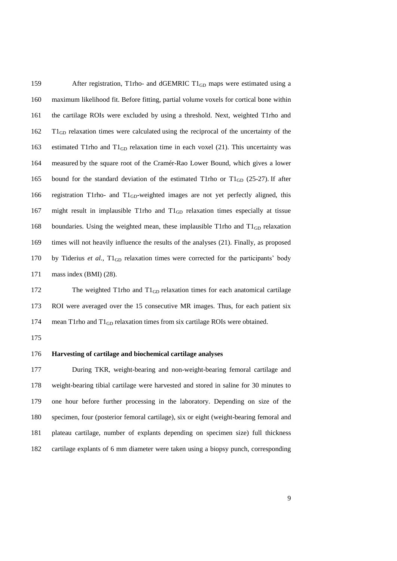159 After registration, T1rho- and dGEMRIC T1<sub>GD</sub> maps were estimated using a maximum likelihood fit. Before fitting, partial volume voxels for cortical bone within the cartilage ROIs were excluded by using a threshold. Next, weighted T1rho and T1GD relaxation times were calculated using the reciprocal of the uncertainty of the 163 estimated T1rho and T1<sub>GD</sub> relaxation time in each voxel [\(21\)](#page-19-4). This uncertainty was measured by the square root of the Cramér-Rao Lower Bound, which gives a lower 165 bound for the standard deviation of the estimated T1rho or  $T1_{GD}$  [\(25-27\)](#page-20-0). If after 166 registration T1rho- and  $T1_{GD}$ -weighted images are not yet perfectly aligned, this might result in implausible T1rho and T1GD relaxation times especially at tissue 168 boundaries. Using the weighted mean, these implausible T1rho and  $T1_{GD}$  relaxation times will not heavily influence the results of the analyses [\(21\)](#page-19-4). Finally, as proposed 170 by Tiderius et al., T1<sub>GD</sub> relaxation times were corrected for the participants' body mass index (BMI) [\(28\)](#page-20-1).

172 The weighted T1rho and  $T1_{GD}$  relaxation times for each anatomical cartilage ROI were averaged over the 15 consecutive MR images. Thus, for each patient six 174 mean T1rho and T1<sub>GD</sub> relaxation times from six cartilage ROIs were obtained.

## **Harvesting of cartilage and biochemical cartilage analyses**

 During TKR, weight-bearing and non-weight-bearing femoral cartilage and weight-bearing tibial cartilage were harvested and stored in saline for 30 minutes to one hour before further processing in the laboratory. Depending on size of the specimen, four (posterior femoral cartilage), six or eight (weight-bearing femoral and plateau cartilage, number of explants depending on specimen size) full thickness cartilage explants of 6 mm diameter were taken using a biopsy punch, corresponding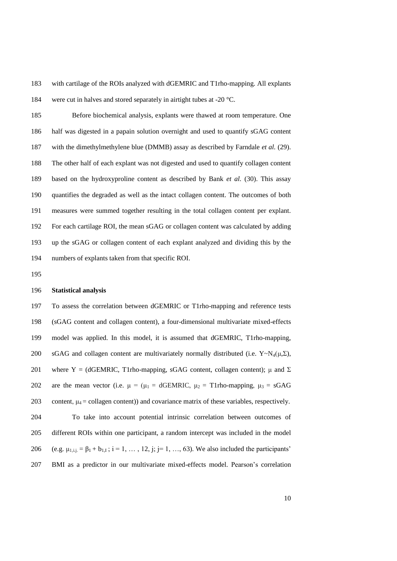with cartilage of the ROIs analyzed with dGEMRIC and T1rho-mapping. All explants were cut in halves and stored separately in airtight tubes at -20 °C.

 Before biochemical analysis, explants were thawed at room temperature. One half was digested in a papain solution overnight and used to quantify sGAG content with the dimethylmethylene blue (DMMB) assay as described by Farndale *et al.* [\(29\)](#page-20-2). The other half of each explant was not digested and used to quantify collagen content based on the hydroxyproline content as described by Bank *et al.* [\(30\)](#page-20-3). This assay quantifies the degraded as well as the intact collagen content. The outcomes of both measures were summed together resulting in the total collagen content per explant. For each cartilage ROI, the mean sGAG or collagen content was calculated by adding up the sGAG or collagen content of each explant analyzed and dividing this by the numbers of explants taken from that specific ROI.

### **Statistical analysis**

 To assess the correlation between dGEMRIC or T1rho-mapping and reference tests (sGAG content and collagen content), a four-dimensional multivariate mixed-effects model was applied. In this model, it is assumed that dGEMRIC, T1rho-mapping, 200 sGAG and collagen content are multivariately normally distributed (i.e.  $Y \sim N_4(\mu, \Sigma)$ , 201 where Y = (dGEMRIC, T1rho-mapping, sGAG content, collagen content);  $\mu$  and  $\Sigma$ 202 are the mean vector (i.e.  $\mu = (\mu_1 = \text{dGEMRIC}, \mu_2 = \text{T1rho-mapping}, \mu_3 = \text{sGAG})$ 203 content,  $\mu_4$  = collagen content)) and covariance matrix of these variables, respectively. To take into account potential intrinsic correlation between outcomes of different ROIs within one participant, a random intercept was included in the model 206 (e.g.  $\mu_{1,i,j} = \beta_1 + b_{1,I}$ ; i = 1, ..., 12, j; j = 1, ..., 63). We also included the participants' BMI as a predictor in our multivariate mixed-effects model. Pearson's correlation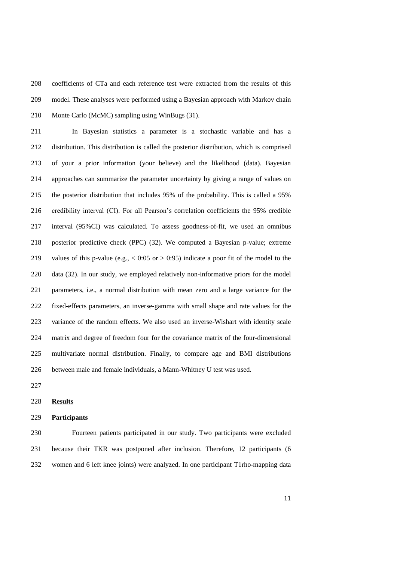coefficients of CTa and each reference test were extracted from the results of this model. These analyses were performed using a Bayesian approach with Markov chain Monte Carlo (McMC) sampling using WinBugs [\(31\)](#page-20-4).

 In Bayesian statistics a parameter is a stochastic variable and has a distribution. This distribution is called the posterior distribution, which is comprised of your a prior information (your believe) and the likelihood (data). Bayesian approaches can summarize the parameter uncertainty by giving a range of values on the posterior distribution that includes 95% of the probability. This is called a 95% credibility interval (CI). For all Pearson's correlation coefficients the 95% credible interval (95%CI) was calculated. To assess goodness-of-fit, we used an omnibus posterior predictive check (PPC) [\(32\)](#page-20-5). We computed a Bayesian p-value; extreme 219 values of this p-value (e.g.,  $< 0.05$  or  $> 0.95$ ) indicate a poor fit of the model to the data [\(32\)](#page-20-5). In our study, we employed relatively non-informative priors for the model parameters, i.e., a normal distribution with mean zero and a large variance for the fixed-effects parameters, an inverse-gamma with small shape and rate values for the variance of the random effects. We also used an inverse-Wishart with identity scale matrix and degree of freedom four for the covariance matrix of the four-dimensional multivariate normal distribution. Finally, to compare age and BMI distributions between male and female individuals, a Mann-Whitney U test was used.

### **Results**

### **Participants**

 Fourteen patients participated in our study. Two participants were excluded because their TKR was postponed after inclusion. Therefore, 12 participants (6 women and 6 left knee joints) were analyzed. In one participant T1rho-mapping data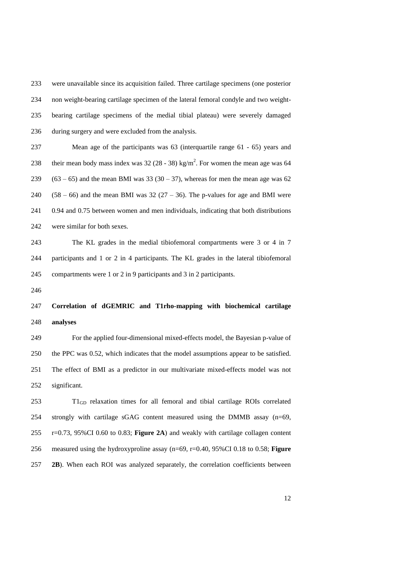were unavailable since its acquisition failed. Three cartilage specimens (one posterior non weight-bearing cartilage specimen of the lateral femoral condyle and two weight- bearing cartilage specimens of the medial tibial plateau) were severely damaged during surgery and were excluded from the analysis.

 Mean age of the participants was 63 (interquartile range 61 - 65) years and 238 their mean body mass index was  $32(28 - 38)$  kg/m<sup>2</sup>. For women the mean age was 64  $(63 - 65)$  and the mean BMI was 33 (30 – 37), whereas for men the mean age was 62  $(58 - 66)$  and the mean BMI was 32 (27 – 36). The p-values for age and BMI were 0.94 and 0.75 between women and men individuals, indicating that both distributions were similar for both sexes.

 The KL grades in the medial tibiofemoral compartments were 3 or 4 in 7 participants and 1 or 2 in 4 participants. The KL grades in the lateral tibiofemoral compartments were 1 or 2 in 9 participants and 3 in 2 participants.

# **Correlation of dGEMRIC and T1rho-mapping with biochemical cartilage analyses**

 For the applied four-dimensional mixed-effects model, the Bayesian p-value of the PPC was 0.52, which indicates that the model assumptions appear to be satisfied. The effect of BMI as a predictor in our multivariate mixed-effects model was not significant.

 T1GD relaxation times for all femoral and tibial cartilage ROIs correlated strongly with cartilage sGAG content measured using the DMMB assay (n=69, r=0.73, 95%CI 0.60 to 0.83; **Figure 2A**) and weakly with cartilage collagen content measured using the hydroxyproline assay (n=69, r=0.40, 95%CI 0.18 to 0.58; **Figure 2B**). When each ROI was analyzed separately, the correlation coefficients between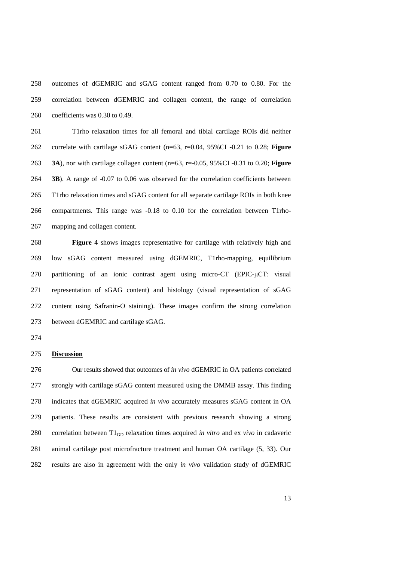outcomes of dGEMRIC and sGAG content ranged from 0.70 to 0.80. For the correlation between dGEMRIC and collagen content, the range of correlation coefficients was 0.30 to 0.49.

 T1rho relaxation times for all femoral and tibial cartilage ROIs did neither correlate with cartilage sGAG content (n=63, r=0.04, 95%CI -0.21 to 0.28; **Figure 3A**), nor with cartilage collagen content (n=63, r=-0.05, 95%CI -0.31 to 0.20; **Figure 3B**). A range of -0.07 to 0.06 was observed for the correlation coefficients between T1rho relaxation times and sGAG content for all separate cartilage ROIs in both knee compartments. This range was -0.18 to 0.10 for the correlation between T1rho-mapping and collagen content.

 **Figure 4** shows images representative for cartilage with relatively high and low sGAG content measured using dGEMRIC, T1rho-mapping, equilibrium partitioning of an ionic contrast agent using micro-CT (EPIC-μCT: visual representation of sGAG content) and histology (visual representation of sGAG content using Safranin-O staining). These images confirm the strong correlation between dGEMRIC and cartilage sGAG.

# **Discussion**

 Our results showed that outcomes of *in vivo* dGEMRIC in OA patients correlated strongly with cartilage sGAG content measured using the DMMB assay. This finding indicates that dGEMRIC acquired *in vivo* accurately measures sGAG content in OA patients. These results are consistent with previous research showing a strong correlation between T1GD relaxation times acquired *in vitro* and ex *vivo* in cadaveric animal cartilage post microfracture treatment and human OA cartilage [\(5,](#page-17-4) [33\)](#page-20-6). Our results are also in agreement with the only *in vivo* validation study of dGEMRIC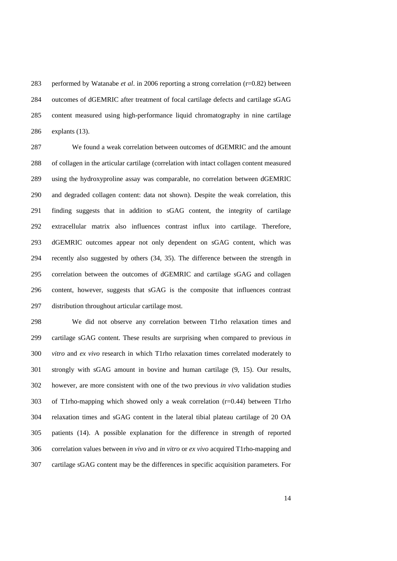performed by Watanabe *et al*. in 2006 reporting a strong correlation (r=0.82) between outcomes of dGEMRIC after treatment of focal cartilage defects and cartilage sGAG content measured using high-performance liquid chromatography in nine cartilage explants [\(13\)](#page-18-4).

 We found a weak correlation between outcomes of dGEMRIC and the amount of collagen in the articular cartilage (correlation with intact collagen content measured using the hydroxyproline assay was comparable, no correlation between dGEMRIC and degraded collagen content: data not shown). Despite the weak correlation, this finding suggests that in addition to sGAG content, the integrity of cartilage extracellular matrix also influences contrast influx into cartilage. Therefore, dGEMRIC outcomes appear not only dependent on sGAG content, which was recently also suggested by others [\(34,](#page-21-0) [35\)](#page-21-1). The difference between the strength in correlation between the outcomes of dGEMRIC and cartilage sGAG and collagen content, however, suggests that sGAG is the composite that influences contrast distribution throughout articular cartilage most.

 We did not observe any correlation between T1rho relaxation times and cartilage sGAG content. These results are surprising when compared to previous *in vitro* and *ex vivo* research in which T1rho relaxation times correlated moderately to strongly with sGAG amount in bovine and human cartilage [\(9,](#page-18-0) [15\)](#page-18-6). Our results, however, are more consistent with one of the two previous *in vivo* validation studies of T1rho-mapping which showed only a weak correlation (r=0.44) between T1rho relaxation times and sGAG content in the lateral tibial plateau cartilage of 20 OA patients [\(14\)](#page-18-5). A possible explanation for the difference in strength of reported correlation values between *in vivo* and *in vitro* or *ex vivo* acquired T1rho-mapping and cartilage sGAG content may be the differences in specific acquisition parameters. For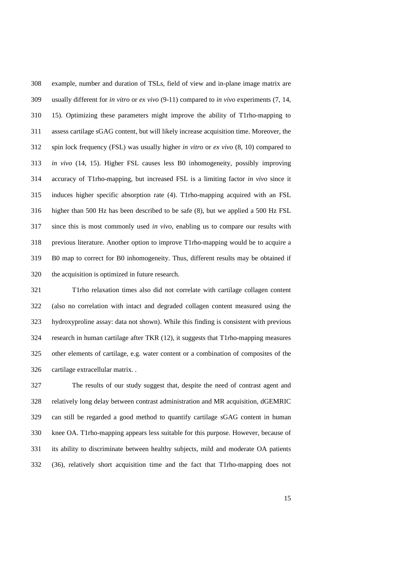example, number and duration of TSLs, field of view and in-plane image matrix are usually different for *in vitro* or *ex vivo* [\(9-11\)](#page-18-0) compared to *in vivo* experiments [\(7,](#page-17-6) [14,](#page-18-5) [15\)](#page-18-6). Optimizing these parameters might improve the ability of T1rho-mapping to assess cartilage sGAG content, but will likely increase acquisition time. Moreover, the spin lock frequency (FSL) was usually higher *in vitro* or *ex vivo* [\(8,](#page-17-7) [10\)](#page-18-1) compared to *in vivo* [\(14,](#page-18-5) [15\)](#page-18-6). Higher FSL causes less B0 inhomogeneity, possibly improving accuracy of T1rho-mapping, but increased FSL is a limiting factor *in vivo* since it induces higher specific absorption rate [\(4\)](#page-17-3). T1rho-mapping acquired with an FSL higher than 500 Hz has been described to be safe [\(8\)](#page-17-7), but we applied a 500 Hz FSL since this is most commonly used *in vivo*, enabling us to compare our results with previous literature. Another option to improve T1rho-mapping would be to acquire a B0 map to correct for B0 inhomogeneity. Thus, different results may be obtained if the acquisition is optimized in future research.

 T1rho relaxation times also did not correlate with cartilage collagen content (also no correlation with intact and degraded collagen content measured using the hydroxyproline assay: data not shown). While this finding is consistent with previous research in human cartilage after TKR [\(12\)](#page-18-3), it suggests that T1rho-mapping measures other elements of cartilage, e.g. water content or a combination of composites of the cartilage extracellular matrix. .

 The results of our study suggest that, despite the need of contrast agent and relatively long delay between contrast administration and MR acquisition, dGEMRIC can still be regarded a good method to quantify cartilage sGAG content in human knee OA. T1rho-mapping appears less suitable for this purpose. However, because of its ability to discriminate between healthy subjects, mild and moderate OA patients [\(36\)](#page-21-2), relatively short acquisition time and the fact that T1rho-mapping does not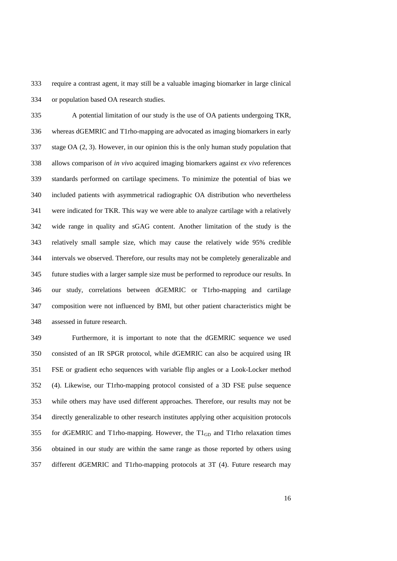require a contrast agent, it may still be a valuable imaging biomarker in large clinical or population based OA research studies.

 A potential limitation of our study is the use of OA patients undergoing TKR, whereas dGEMRIC and T1rho-mapping are advocated as imaging biomarkers in early stage OA [\(2,](#page-17-1) [3\)](#page-17-2). However, in our opinion this is the only human study population that allows comparison of *in vivo* acquired imaging biomarkers against *ex vivo* references standards performed on cartilage specimens. To minimize the potential of bias we included patients with asymmetrical radiographic OA distribution who nevertheless were indicated for TKR. This way we were able to analyze cartilage with a relatively wide range in quality and sGAG content. Another limitation of the study is the relatively small sample size, which may cause the relatively wide 95% credible intervals we observed. Therefore, our results may not be completely generalizable and future studies with a larger sample size must be performed to reproduce our results. In our study, correlations between dGEMRIC or T1rho-mapping and cartilage composition were not influenced by BMI, but other patient characteristics might be assessed in future research.

 Furthermore, it is important to note that the dGEMRIC sequence we used consisted of an IR SPGR protocol, while dGEMRIC can also be acquired using IR FSE or gradient echo sequences with variable flip angles or a Look-Locker method [\(4\)](#page-17-3). Likewise, our T1rho-mapping protocol consisted of a 3D FSE pulse sequence while others may have used different approaches. Therefore, our results may not be directly generalizable to other research institutes applying other acquisition protocols for dGEMRIC and T1rho-mapping. However, the T1GD and T1rho relaxation times obtained in our study are within the same range as those reported by others using different dGEMRIC and T1rho-mapping protocols at 3T [\(4\)](#page-17-3). Future research may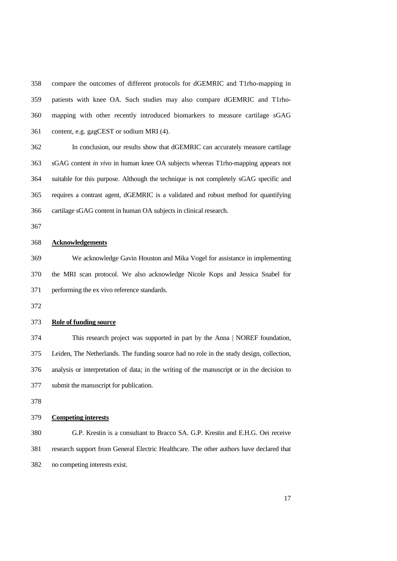compare the outcomes of different protocols for dGEMRIC and T1rho-mapping in patients with knee OA. Such studies may also compare dGEMRIC and T1rho- mapping with other recently introduced biomarkers to measure cartilage sGAG content, e.g. gagCEST or sodium MRI [\(4\)](#page-17-3).

 In conclusion, our results show that dGEMRIC can accurately measure cartilage sGAG content *in vivo* in human knee OA subjects whereas T1rho-mapping appears not suitable for this purpose. Although the technique is not completely sGAG specific and requires a contrast agent, dGEMRIC is a validated and robust method for quantifying cartilage sGAG content in human OA subjects in clinical research.

## **Acknowledgements**

 We acknowledge Gavin Houston and Mika Vogel for assistance in implementing the MRI scan protocol. We also acknowledge Nicole Kops and Jessica Snabel for performing the ex vivo reference standards.

### **Role of funding source**

 This research project was supported in part by the Anna | NOREF foundation, Leiden, The Netherlands. The funding source had no role in the study design, collection, analysis or interpretation of data; in the writing of the manuscript or in the decision to submit the manuscript for publication.

# **Competing interests**

 G.P. Krestin is a consultant to Bracco SA. G.P. Krestin and E.H.G. Oei receive research support from General Electric Healthcare. The other authors have declared that no competing interests exist.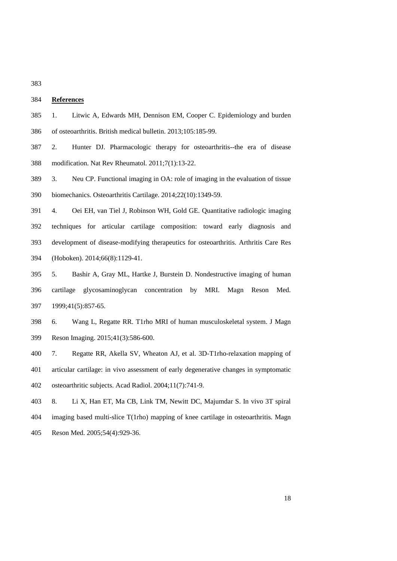# **References**

- <span id="page-17-0"></span> 1. Litwic A, Edwards MH, Dennison EM, Cooper C. Epidemiology and burden of osteoarthritis. British medical bulletin. 2013;105:185-99.
- <span id="page-17-1"></span> 2. Hunter DJ. Pharmacologic therapy for osteoarthritis--the era of disease modification. Nat Rev Rheumatol. 2011;7(1):13-22.
- <span id="page-17-2"></span> 3. Neu CP. Functional imaging in OA: role of imaging in the evaluation of tissue biomechanics. Osteoarthritis Cartilage. 2014;22(10):1349-59.
- <span id="page-17-3"></span> 4. Oei EH, van Tiel J, Robinson WH, Gold GE. Quantitative radiologic imaging techniques for articular cartilage composition: toward early diagnosis and development of disease-modifying therapeutics for osteoarthritis. Arthritis Care Res (Hoboken). 2014;66(8):1129-41.
- <span id="page-17-4"></span> 5. Bashir A, Gray ML, Hartke J, Burstein D. Nondestructive imaging of human cartilage glycosaminoglycan concentration by MRI. Magn Reson Med. 1999;41(5):857-65.
- <span id="page-17-5"></span> 6. Wang L, Regatte RR. T1rho MRI of human musculoskeletal system. J Magn Reson Imaging. 2015;41(3):586-600.
- <span id="page-17-6"></span> 7. Regatte RR, Akella SV, Wheaton AJ, et al. 3D-T1rho-relaxation mapping of articular cartilage: in vivo assessment of early degenerative changes in symptomatic osteoarthritic subjects. Acad Radiol. 2004;11(7):741-9.
- <span id="page-17-7"></span> 8. Li X, Han ET, Ma CB, Link TM, Newitt DC, Majumdar S. In vivo 3T spiral imaging based multi-slice T(1rho) mapping of knee cartilage in osteoarthritis. Magn
- Reson Med. 2005;54(4):929-36.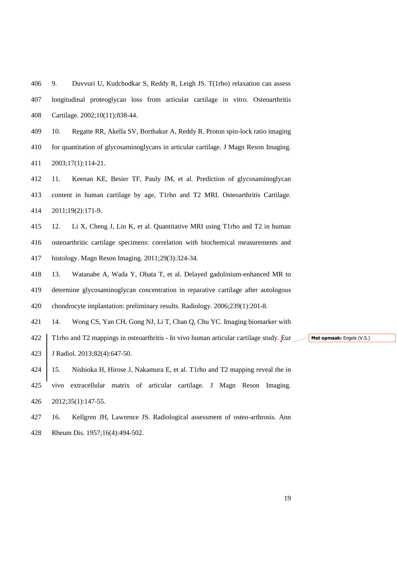<span id="page-18-0"></span> 9. Duvvuri U, Kudchodkar S, Reddy R, Leigh JS. T(1rho) relaxation can assess longitudinal proteoglycan loss from articular cartilage in vitro. Osteoarthritis Cartilage. 2002;10(11):838-44.

<span id="page-18-1"></span> 10. Regatte RR, Akella SV, Borthakur A, Reddy R. Proton spin-lock ratio imaging for quantitation of glycosaminoglycans in articular cartilage. J Magn Reson Imaging. 2003;17(1):114-21.

<span id="page-18-2"></span> 11. Keenan KE, Besier TF, Pauly JM, et al. Prediction of glycosaminoglycan content in human cartilage by age, T1rho and T2 MRI. Osteoarthritis Cartilage. 2011;19(2):171-9.

<span id="page-18-3"></span> 12. Li X, Cheng J, Lin K, et al. Quantitative MRI using T1rho and T2 in human osteoarthritic cartilage specimens: correlation with biochemical measurements and histology. Magn Reson Imaging. 2011;29(3):324-34.

<span id="page-18-4"></span> 13. Watanabe A, Wada Y, Obata T, et al. Delayed gadolinium-enhanced MR to determine glycosaminoglycan concentration in reparative cartilage after autologous chondrocyte implantation: preliminary results. Radiology. 2006;239(1):201-8.

<span id="page-18-5"></span>14. Wong CS, Yan CH, Gong NJ, Li T, Chan Q, Chu YC. Imaging biomarker with

 T1rho and T2 mappings in osteoarthritis - In vivo human articular cartilage study. Eur J Radiol. 2013;82(4):647-50.

<span id="page-18-6"></span> 15. Nishioka H, Hirose J, Nakamura E, et al. T1rho and T2 mapping reveal the in vivo extracellular matrix of articular cartilage. J Magn Reson Imaging. 2012;35(1):147-55.

<span id="page-18-7"></span> 16. Kellgren JH, Lawrence JS. Radiological assessment of osteo-arthrosis. Ann Rheum Dis. 1957;16(4):494-502.

**Met opmaak:** Engels (V.S.)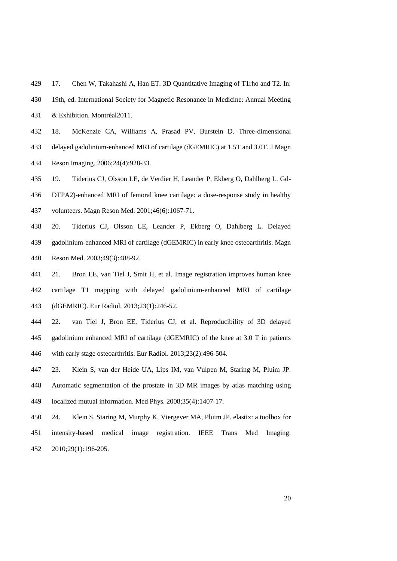- <span id="page-19-0"></span>17. Chen W, Takahashi A, Han ET. 3D Quantitative Imaging of T1rho and T2. In:
- 19th, ed. International Society for Magnetic Resonance in Medicine: Annual Meeting
- & Exhibition. Montréal2011.
- <span id="page-19-1"></span> 18. McKenzie CA, Williams A, Prasad PV, Burstein D. Three-dimensional delayed gadolinium-enhanced MRI of cartilage (dGEMRIC) at 1.5T and 3.0T. J Magn Reson Imaging. 2006;24(4):928-33.
- <span id="page-19-2"></span> 19. Tiderius CJ, Olsson LE, de Verdier H, Leander P, Ekberg O, Dahlberg L. Gd- DTPA2)-enhanced MRI of femoral knee cartilage: a dose-response study in healthy volunteers. Magn Reson Med. 2001;46(6):1067-71.
- <span id="page-19-3"></span> 20. Tiderius CJ, Olsson LE, Leander P, Ekberg O, Dahlberg L. Delayed gadolinium-enhanced MRI of cartilage (dGEMRIC) in early knee osteoarthritis. Magn Reson Med. 2003;49(3):488-92.
- <span id="page-19-4"></span> 21. Bron EE, van Tiel J, Smit H, et al. Image registration improves human knee cartilage T1 mapping with delayed gadolinium-enhanced MRI of cartilage (dGEMRIC). Eur Radiol. 2013;23(1):246-52.
- <span id="page-19-5"></span> 22. van Tiel J, Bron EE, Tiderius CJ, et al. Reproducibility of 3D delayed gadolinium enhanced MRI of cartilage (dGEMRIC) of the knee at 3.0 T in patients with early stage osteoarthritis. Eur Radiol. 2013;23(2):496-504.
- <span id="page-19-6"></span> 23. Klein S, van der Heide UA, Lips IM, van Vulpen M, Staring M, Pluim JP. Automatic segmentation of the prostate in 3D MR images by atlas matching using localized mutual information. Med Phys. 2008;35(4):1407-17.
- <span id="page-19-7"></span> 24. Klein S, Staring M, Murphy K, Viergever MA, Pluim JP. elastix: a toolbox for intensity-based medical image registration. IEEE Trans Med Imaging. 2010;29(1):196-205.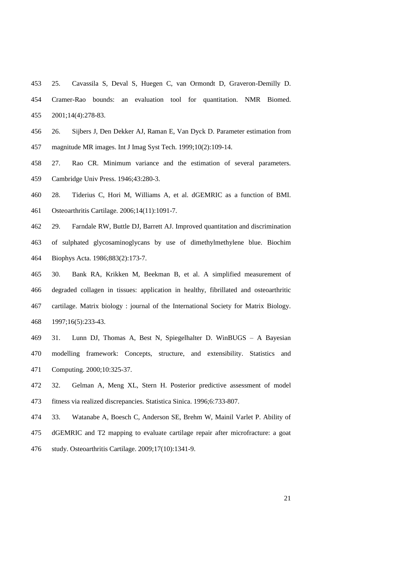- <span id="page-20-0"></span> 25. Cavassila S, Deval S, Huegen C, van Ormondt D, Graveron-Demilly D. Cramer-Rao bounds: an evaluation tool for quantitation. NMR Biomed.
- 2001;14(4):278-83.
- 26. Sijbers J, Den Dekker AJ, Raman E, Van Dyck D. Parameter estimation from magnitude MR images. Int J Imag Syst Tech. 1999;10(2):109-14.
- 27. Rao CR. Minimum variance and the estimation of several parameters. Cambridge Univ Press. 1946;43:280-3.
- <span id="page-20-1"></span> 28. Tiderius C, Hori M, Williams A, et al. dGEMRIC as a function of BMI. Osteoarthritis Cartilage. 2006;14(11):1091-7.
- <span id="page-20-2"></span> 29. Farndale RW, Buttle DJ, Barrett AJ. Improved quantitation and discrimination of sulphated glycosaminoglycans by use of dimethylmethylene blue. Biochim Biophys Acta. 1986;883(2):173-7.
- <span id="page-20-3"></span> 30. Bank RA, Krikken M, Beekman B, et al. A simplified measurement of degraded collagen in tissues: application in healthy, fibrillated and osteoarthritic cartilage. Matrix biology : journal of the International Society for Matrix Biology. 1997;16(5):233-43.
- <span id="page-20-4"></span> 31. Lunn DJ, Thomas A, Best N, Spiegelhalter D. WinBUGS – A Bayesian modelling framework: Concepts, structure, and extensibility. Statistics and Computing. 2000;10:325-37.
- <span id="page-20-5"></span> 32. Gelman A, Meng XL, Stern H. Posterior predictive assessment of model fitness via realized discrepancies. Statistica Sinica. 1996;6:733-807.
- <span id="page-20-6"></span> 33. Watanabe A, Boesch C, Anderson SE, Brehm W, Mainil Varlet P. Ability of dGEMRIC and T2 mapping to evaluate cartilage repair after microfracture: a goat study. Osteoarthritis Cartilage. 2009;17(10):1341-9.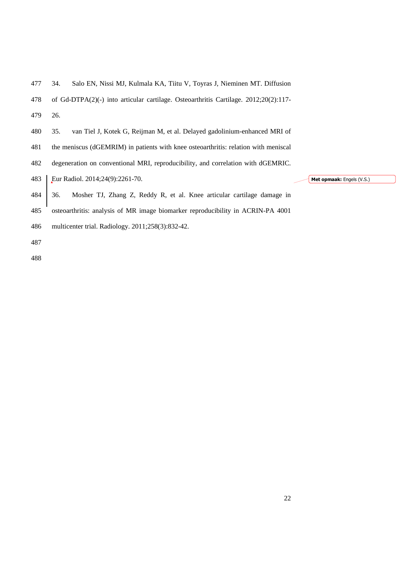<span id="page-21-2"></span><span id="page-21-1"></span>

| 478 | of Gd-DTPA $(2)(-)$ into articular cartilage. Osteoarthritis Cartilage. 2012;20 $(2):117-$ |
|-----|--------------------------------------------------------------------------------------------|
| 479 | 26.                                                                                        |
| 480 | 35.<br>van Tiel J, Kotek G, Reijman M, et al. Delayed gadolinium-enhanced MRI of           |
| 481 | the meniscus (dGEMRIM) in patients with knee osteoarthritis: relation with meniscal        |
| 482 | degeneration on conventional MRI, reproducibility, and correlation with dGEMRIC.           |
| 483 | Eur Radiol. 2014;24(9):2261-70.<br>Met opmaak: Engels (V.S.)                               |
| 484 | Mosher TJ, Zhang Z, Reddy R, et al. Knee articular cartilage damage in<br>36.              |
| 485 | osteoarthritis: analysis of MR image biomarker reproducibility in ACRIN-PA 4001            |
| 486 | multicenter trial. Radiology. 2011;258(3):832-42.                                          |
| 487 |                                                                                            |
| 488 |                                                                                            |

# <span id="page-21-0"></span>34. Salo EN, Nissi MJ, Kulmala KA, Tiitu V, Toyras J, Nieminen MT. Diffusion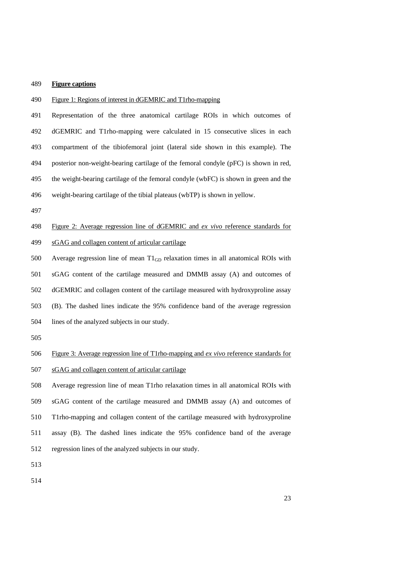## **Figure captions**

### Figure 1: Regions of interest in dGEMRIC and T1rho-mapping

 Representation of the three anatomical cartilage ROIs in which outcomes of dGEMRIC and T1rho-mapping were calculated in 15 consecutive slices in each compartment of the tibiofemoral joint (lateral side shown in this example). The posterior non-weight-bearing cartilage of the femoral condyle (pFC) is shown in red, the weight-bearing cartilage of the femoral condyle (wbFC) is shown in green and the weight-bearing cartilage of the tibial plateaus (wbTP) is shown in yellow.

# Figure 2: Average regression line of dGEMRIC and *ex vivo* reference standards for sGAG and collagen content of articular cartilage

 Average regression line of mean T1GD relaxation times in all anatomical ROIs with sGAG content of the cartilage measured and DMMB assay (A) and outcomes of dGEMRIC and collagen content of the cartilage measured with hydroxyproline assay (B). The dashed lines indicate the 95% confidence band of the average regression lines of the analyzed subjects in our study.

### Figure 3: Average regression line of T1rho-mapping and *ex vivo* reference standards for

sGAG and collagen content of articular cartilage

 Average regression line of mean T1rho relaxation times in all anatomical ROIs with sGAG content of the cartilage measured and DMMB assay (A) and outcomes of T1rho-mapping and collagen content of the cartilage measured with hydroxyproline assay (B). The dashed lines indicate the 95% confidence band of the average regression lines of the analyzed subjects in our study.

- 
-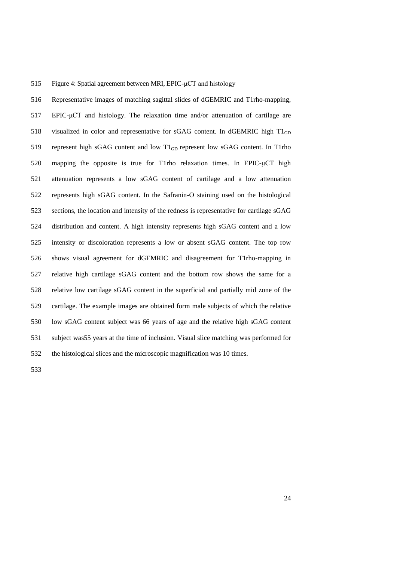## Figure 4: Spatial agreement between MRI, EPIC-μCT and histology

 Representative images of matching sagittal slides of dGEMRIC and T1rho-mapping, EPIC-μCT and histology. The relaxation time and/or attenuation of cartilage are 518 visualized in color and representative for sGAG content. In dGEMRIC high  $T1_{GD}$ 519 represent high sGAG content and low  $T1_{GD}$  represent low sGAG content. In T1rho mapping the opposite is true for T1rho relaxation times. In EPIC-μCT high attenuation represents a low sGAG content of cartilage and a low attenuation represents high sGAG content. In the Safranin-O staining used on the histological sections, the location and intensity of the redness is representative for cartilage sGAG distribution and content. A high intensity represents high sGAG content and a low intensity or discoloration represents a low or absent sGAG content. The top row shows visual agreement for dGEMRIC and disagreement for T1rho-mapping in relative high cartilage sGAG content and the bottom row shows the same for a relative low cartilage sGAG content in the superficial and partially mid zone of the cartilage. The example images are obtained form male subjects of which the relative low sGAG content subject was 66 years of age and the relative high sGAG content subject was55 years at the time of inclusion. Visual slice matching was performed for the histological slices and the microscopic magnification was 10 times.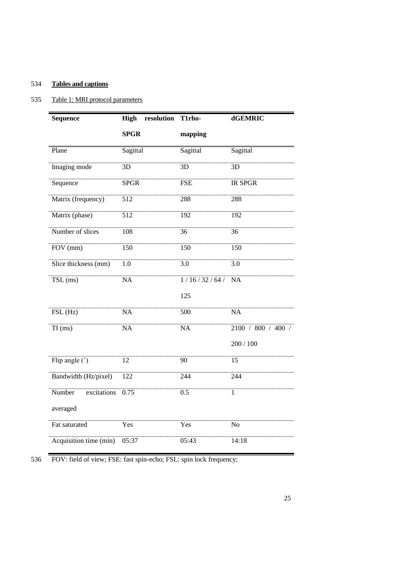# 534 **Tables and captions**

# 535 Table 1: MRI protocol parameters

| <b>Sequence</b>              | resolution<br><b>High</b> | T1rho-      | dGEMRIC            |  |  |
|------------------------------|---------------------------|-------------|--------------------|--|--|
|                              | <b>SPGR</b>               | mapping     |                    |  |  |
| Plane                        | Sagittal                  | Sagittal    | Sagittal           |  |  |
| Imaging mode                 | 3D                        | 3D          | 3D                 |  |  |
| Sequence                     | <b>SPGR</b>               | <b>FSE</b>  | <b>IR SPGR</b>     |  |  |
| Matrix (frequency)           | 512                       | 288         | 288                |  |  |
| Matrix (phase)               | 512                       | 192         | 192                |  |  |
| Number of slices             | 108                       | 36          | 36                 |  |  |
| FOV (mm)                     | 150                       | 150         | 150                |  |  |
| Slice thickness (mm)         | $1.0\,$                   | 3.0         | $\overline{3.0}$   |  |  |
| $TSL$ (ms)                   | $\overline{NA}$           | 1/16/32/64/ | NA                 |  |  |
|                              |                           | 125         |                    |  |  |
| $\overline{\text{FSL}}$ (Hz) | NA                        | 500         | NA                 |  |  |
| $TI$ (ms)                    | NA                        | NA          | 2100 / 800 / 400 / |  |  |
|                              |                           |             | 200 / 100          |  |  |
| Flip angle $(°)$             | $\overline{12}$           | 90          | 15                 |  |  |
| Bandwidth (Hz/pixel)         | 122                       | 244         | 244                |  |  |
| Number<br>excitations        | 0.75                      | 0.5         | $\overline{1}$     |  |  |
| averaged                     |                           |             |                    |  |  |
| Fat saturated                | Yes                       | Yes         | N <sub>o</sub>     |  |  |
| Acquisition time (min)       | 05:37                     | 05:43       | 14:18              |  |  |

536 FOV: field of view; FSE: fast spin-echo; FSL: spin lock frequency;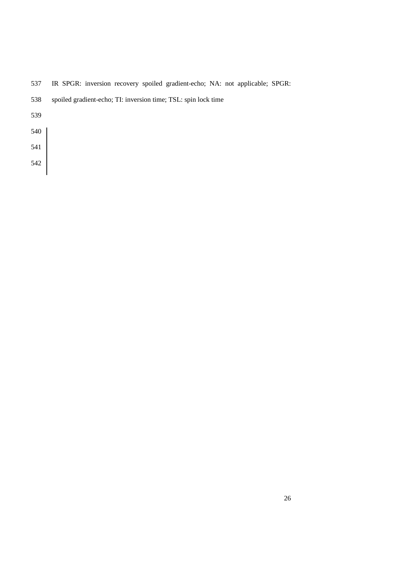IR SPGR: inversion recovery spoiled gradient-echo; NA: not applicable; SPGR:

| 538 | spoiled gradient-echo; TI: inversion time; TSL: spin lock time |  |  |  |  |
|-----|----------------------------------------------------------------|--|--|--|--|
|     |                                                                |  |  |  |  |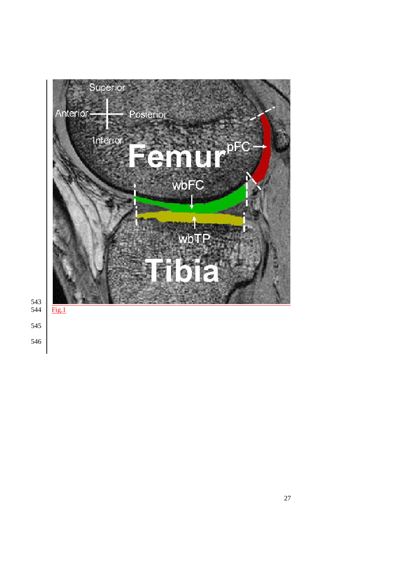

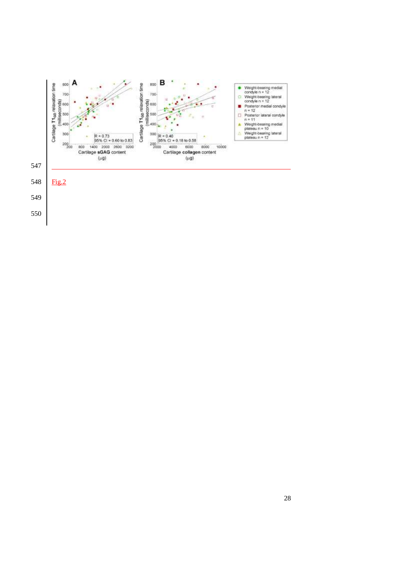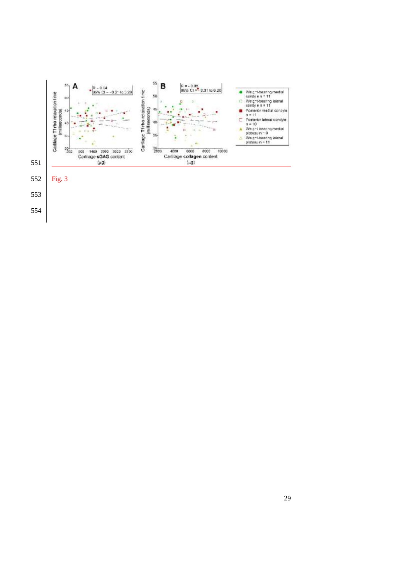